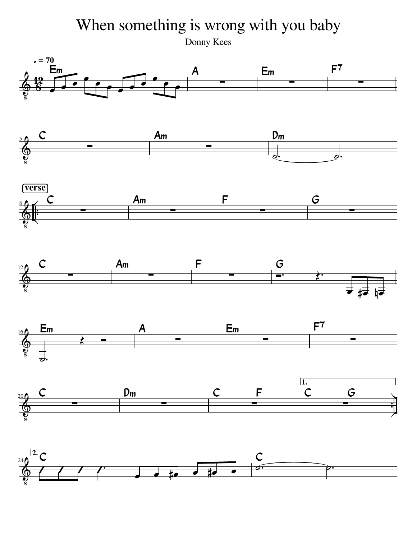## When something is wrong with you baby

Donny Kees